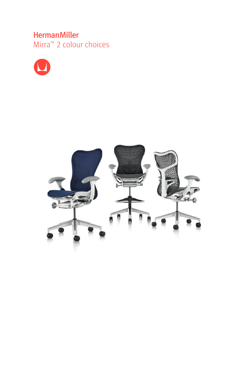## **HermanMiller**

Mirra<sup>™</sup> 2 colour choices



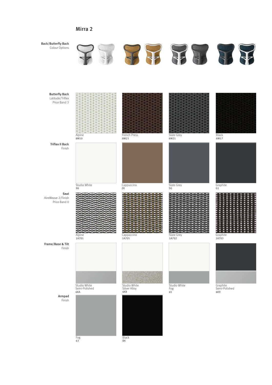## Mirra 2



Fog 63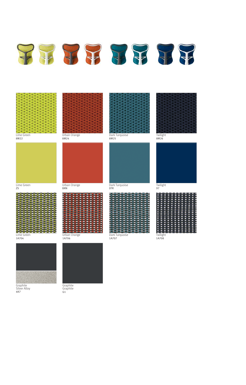



Lime Green 8M22



Lime Green  $7S$ 

Lime Green

1A704



Graphite Silver Alloy 6K7



Urban Orange 8M24



BRN

|        | - 0                 |     |           |                     | <b>POINT OF</b>                         |                       |                       |                       |     | - - |
|--------|---------------------|-----|-----------|---------------------|-----------------------------------------|-----------------------|-----------------------|-----------------------|-----|-----|
| ۰      | ۰                   | ۰   |           | ۰                   | <b>CONTRACT</b>                         |                       |                       |                       | مسم |     |
| ۰      | ۰                   | ۰   |           | o <sup>un</sup> Gui | $\bullet$                               | ۰                     |                       | <b>COLOR</b>          |     |     |
| ۰      | ۰                   | - 0 |           |                     | $- - - - - -$                           |                       |                       |                       | ۰   |     |
| ۰      | ۰                   | - - |           |                     | <b><i><u><b>DECEMBER</b></u></i></b>    |                       |                       | $-10$                 |     |     |
|        |                     |     | $\bullet$ |                     | $\bullet$ $\bullet$                     |                       |                       | $\bullet$ $\bullet$ . | ۰   |     |
| ۰      |                     |     | ۰         |                     |                                         |                       |                       |                       | - 1 |     |
| ۰.     | - 0                 |     |           |                     | $\bullet$ $\bullet$ $\bullet$ $\bullet$ |                       | ---                   |                       |     |     |
| ۰      |                     |     |           |                     | <b>O CALCAPTELLE OLD CALC</b>           |                       |                       |                       |     |     |
| ٠      | <u>and the same</u> |     |           | <b>All Avenue</b>   |                                         | $\bullet$ $\bullet$ . |                       | <b>SHOW: YES</b>      |     |     |
|        | $-2$                |     |           |                     | <b>9.0 8.0 9.0 9.0 9.0</b>              |                       |                       |                       |     | ٠   |
| ۰      | <b>Common</b>       |     |           |                     | ------------                            |                       |                       | $-1$                  |     |     |
|        |                     | ۰.  | c         |                     | <b><i><u><b>B</b>usiness</u></i></b>    |                       |                       |                       |     |     |
| ۰<br>۰ | - -<br>۰            | ۰   |           | .                   | $\bullet$                               |                       |                       |                       |     |     |
| ۰.     |                     |     | ۰         | $\sim$              | $\bullet$                               | ъ                     |                       |                       |     |     |
|        |                     |     |           |                     |                                         | $\bullet$ $\bullet$ . |                       |                       |     |     |
|        |                     |     |           |                     | ۰                                       |                       |                       |                       |     |     |
|        | - -                 | ъ   | ۰         | ---                 |                                         |                       | $\bullet$ . $\bullet$ |                       |     |     |
|        |                     |     |           |                     |                                         |                       |                       |                       |     |     |

Urban Orange 1A706

Graphite Graphite G1



Dark Turquoise 1A707

Dark Turquoise 8M25

Twilight 8M26



Twilight 97

................ ................ ............... ................ ................ ................ ............... .............. ................

Twilight 1A708